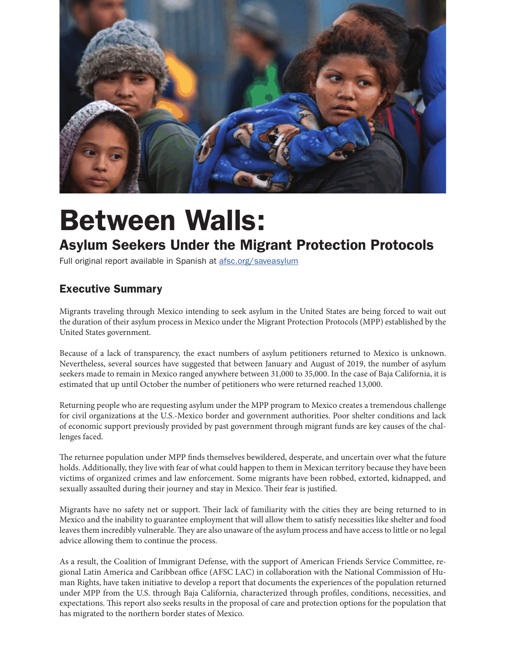

## Between Walls:

## Asylum Seekers Under the Migrant Protection Protocols

Full original report available in Spanish at afsc.org/saveasylum

## Executive Summary

Migrants traveling through Mexico intending to seek asylum in the United States are being forced to wait out the duration of their asylum process in Mexico under the Migrant Protection Protocols (MPP) established by the United States government.

Because of a lack of transparency, the exact numbers of asylum petitioners returned to Mexico is unknown. Nevertheless, several sources have suggested that between January and August of 2019, the number of asylum seekers made to remain in Mexico ranged anywhere between 31,000 to 35,000. In the case of Baja California, it is estimated that up until October the number of petitioners who were returned reached 13,000.

Returning people who are requesting asylum under the MPP program to Mexico creates a tremendous challenge for civil organizations at the U.S.-Mexico border and government authorities. Poor shelter conditions and lack of economic support previously provided by past government through migrant funds are key causes of the challenges faced.

The returnee population under MPP finds themselves bewildered, desperate, and uncertain over what the future holds. Additionally, they live with fear of what could happen to them in Mexican territory because they have been victims of organized crimes and law enforcement. Some migrants have been robbed, extorted, kidnapped, and sexually assaulted during their journey and stay in Mexico. Their fear is justified.

Migrants have no safety net or support. Their lack of familiarity with the cities they are being returned to in Mexico and the inability to guarantee employment that will allow them to satisfy necessities like shelter and food leaves them incredibly vulnerable. They are also unaware of the asylum process and have access to little or no legal advice allowing them to continue the process.

As a result, the Coalition of Immigrant Defense, with the support of American Friends Service Committee, regional Latin America and Caribbean office (AFSC LAC) in collaboration with the National Commission of Human Rights, have taken initiative to develop a report that documents the experiences of the population returned under MPP from the U.S. through Baja California, characterized through profiles, conditions, necessities, and expectations. This report also seeks results in the proposal of care and protection options for the population that has migrated to the northern border states of Mexico.